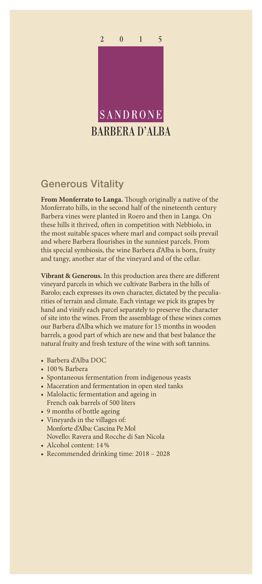

## Generous Vitality

**From Monferrato to Langa.** Though originally a native of the Monferrato hills, in the second half of the nineteenth century Barbera vines were planted in Roero and then in Langa. On these hills it thrived, often in competition with Nebbiolo, in the most suitable spaces where marl and compact soils prevail and where Barbera flourishes in the sunniest parcels. From this special symbiosis, the wine Barbera d'Alba is born, fruity and tangy, another star of the vineyard and of the cellar.

**Vibrant & Generous.** In this production area there are different vineyard parcels in which we cultivate Barbera in the hills of Barolo; each expresses its own character, dictated by the peculiarities of terrain and climate. Each vintage we pick its grapes by hand and vinify each parcel separately to preserve the character of site into the wines. From the assemblage of these wines comes our Barbera d'Alba which we mature for 15 months in wooden barrels, a good part of which are new and that best balance the natural fruity and fresh texture of the wine with soft tannins.

- Barbera d'Alba DOC
- 100% Barbera
- Spontaneous fermentation from indigenous yeasts
- Maceration and fermentation in open steel tanks
- Malolactic fermentation and ageing in French oak barrels of 500 liters
- 9 months of bottle ageing
- Vineyards in the villages of: Monforte d'Alba: Cascina Pe Mol Novello: Ravera and Rocche di San Nicola
- Alcohol content: 14%
- Recommended drinking time: 2018 2028